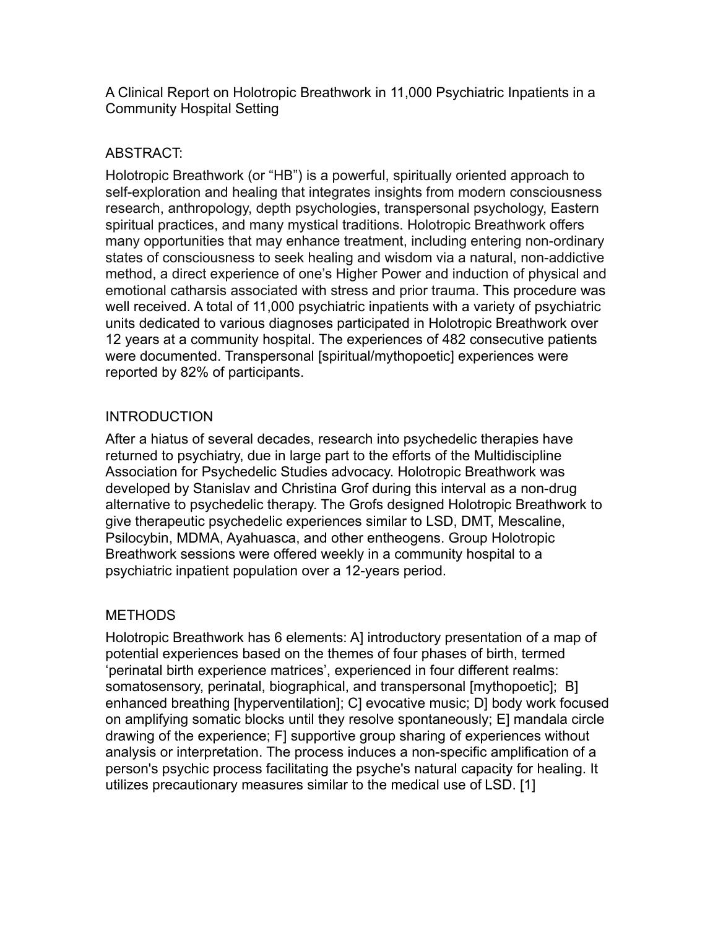A Clinical Report on Holotropic Breathwork in 11,000 Psychiatric Inpatients in a Community Hospital Setting

## ABSTRACT:

Holotropic Breathwork (or "HB") is a powerful, spiritually oriented approach to self-exploration and healing that integrates insights from modern consciousness research, anthropology, depth psychologies, transpersonal psychology, Eastern spiritual practices, and many mystical traditions. Holotropic Breathwork offers many opportunities that may enhance treatment, including entering non-ordinary states of consciousness to seek healing and wisdom via a natural, non-addictive method, a direct experience of one's Higher Power and induction of physical and emotional catharsis associated with stress and prior trauma. This procedure was well received. A total of 11,000 psychiatric inpatients with a variety of psychiatric units dedicated to various diagnoses participated in Holotropic Breathwork over 12 years at a community hospital. The experiences of 482 consecutive patients were documented. Transpersonal [spiritual/mythopoetic] experiences were reported by 82% of participants.

### **INTRODUCTION**

After a hiatus of several decades, research into psychedelic therapies have returned to psychiatry, due in large part to the efforts of the Multidiscipline Association for Psychedelic Studies advocacy. Holotropic Breathwork was developed by Stanislav and Christina Grof during this interval as a non-drug alternative to psychedelic therapy. The Grofs designed Holotropic Breathwork to give therapeutic psychedelic experiences similar to LSD, DMT, Mescaline, Psilocybin, MDMA, Ayahuasca, and other entheogens. Group Holotropic Breathwork sessions were offered weekly in a community hospital to a psychiatric inpatient population over a 12-years period.

# **METHODS**

Holotropic Breathwork has 6 elements: A] introductory presentation of a map of potential experiences based on the themes of four phases of birth, termed 'perinatal birth experience matrices', experienced in four different realms: somatosensory, perinatal, biographical, and transpersonal [mythopoetic]; B] enhanced breathing [[hyperventilation\]](http://en.wikipedia.org/wiki/Hyperventilation); C] evocative music; D] body work focused on amplifying somatic blocks until they resolve spontaneously; E] mandala circle drawing of the experience; F] supportive group sharing of experiences without analysis or interpretation. The process induces a non-specific amplification of a person's psychic process facilitating the psyche's natural capacity for healing. It utilizes precautionary measures similar to the medical use of [LSD.](http://en.wikipedia.org/wiki/LSD) [1]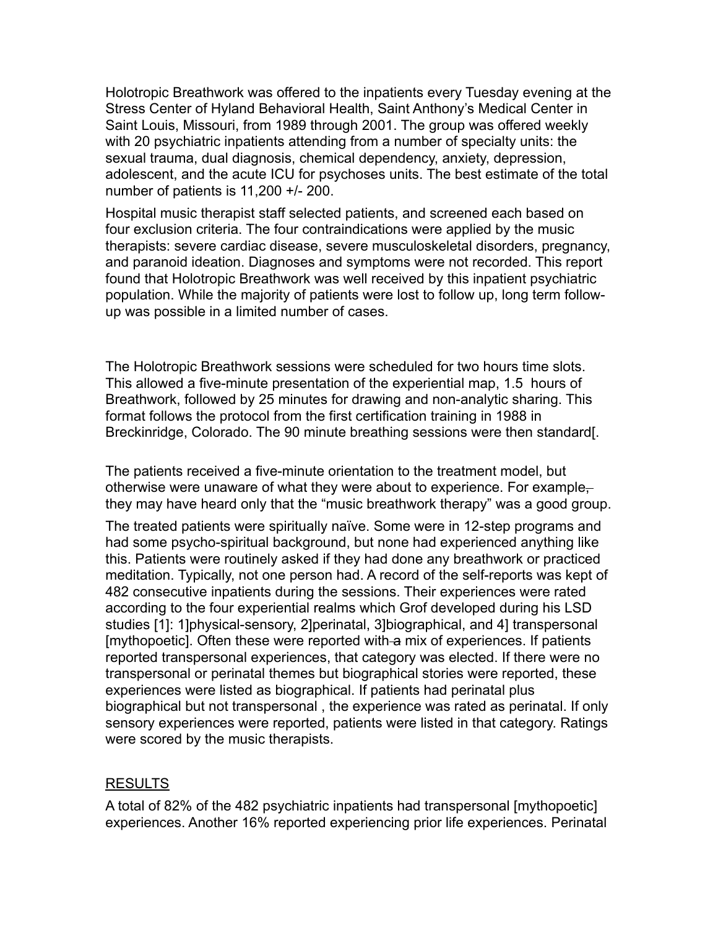Holotropic Breathwork was offered to the inpatients every Tuesday evening at the Stress Center of Hyland Behavioral Health, Saint Anthony's Medical Center in Saint Louis, Missouri, from 1989 through 2001. The group was offered weekly with 20 psychiatric inpatients attending from a number of specialty units: the sexual trauma, dual diagnosis, chemical dependency, anxiety, depression, adolescent, and the acute ICU for psychoses units. The best estimate of the total number of patients is 11,200 +/- 200.

Hospital music therapist staff selected patients, and screened each based on four exclusion criteria. The four contraindications were applied by the music therapists: severe cardiac disease, severe musculoskeletal disorders, pregnancy, and paranoid ideation. Diagnoses and symptoms were not recorded. This report found that Holotropic Breathwork was well received by this inpatient psychiatric population. While the majority of patients were lost to follow up, long term followup was possible in a limited number of cases.

The Holotropic Breathwork sessions were scheduled for two hours time slots. This allowed a five-minute presentation of the experiential map, 1.5 hours of Breathwork, followed by 25 minutes for drawing and non-analytic sharing. This format follows the protocol from the first certification training in 1988 in Breckinridge, Colorado. The 90 minute breathing sessions were then standard[.

The patients received a five-minute orientation to the treatment model, but otherwise were unaware of what they were about to experience. For example– they may have heard only that the "music breathwork therapy" was a good group.

The treated patients were spiritually naïve. Some were in 12-step programs and had some psycho-spiritual background, but none had experienced anything like this. Patients were routinely asked if they had done any breathwork or practiced meditation. Typically, not one person had. A record of the self-reports was kept of 482 consecutive inpatients during the sessions. Their experiences were rated according to the four experiential realms which Grof developed during his LSD studies [1]: 1]physical-sensory, 2]perinatal, 3]biographical, and 4] transpersonal [mythopoetic]. Often these were reported with a mix of experiences. If patients reported transpersonal experiences, that category was elected. If there were no transpersonal or perinatal themes but biographical stories were reported, these experiences were listed as biographical. If patients had perinatal plus biographical but not transpersonal , the experience was rated as perinatal. If only sensory experiences were reported, patients were listed in that category. Ratings were scored by the music therapists.

#### RESULTS

A total of 82% of the 482 psychiatric inpatients had transpersonal [mythopoetic] experiences. Another 16% reported experiencing prior life experiences. Perinatal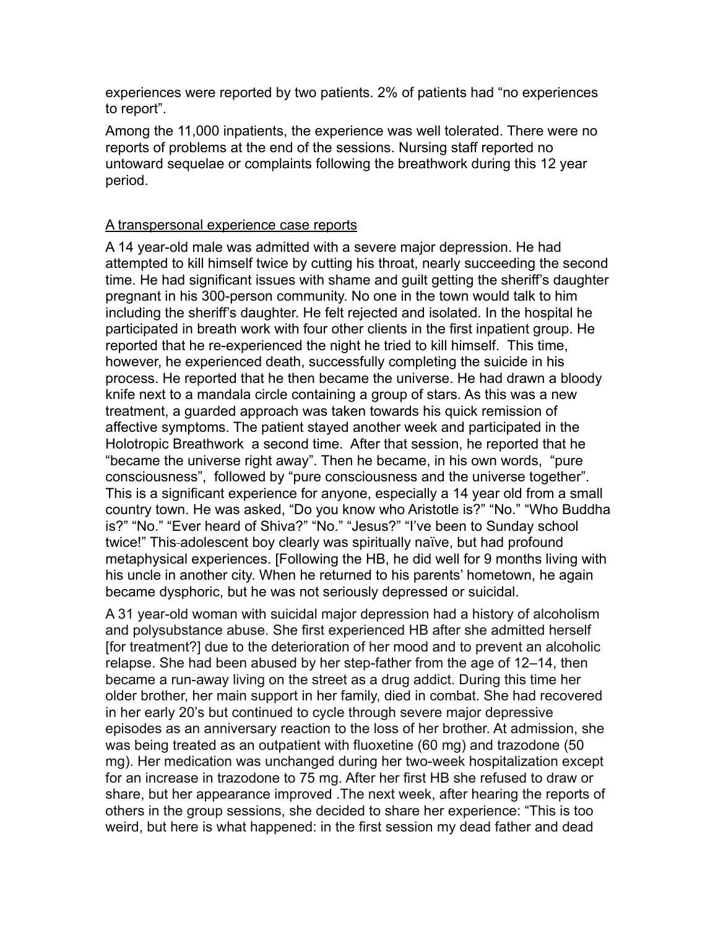experiences were reported by two patients. 2% of patients had "no experiences to report".

Among the 11,000 inpatients, the experience was well tolerated. There were no reports of problems at the end of the sessions. Nursing staff reported no untoward sequelae or complaints following the breathwork during this 12 year period.

#### A transpersonal experience case reports

A 14 year-old male was admitted with a severe major depression. He had attempted to kill himself twice by cutting his throat, nearly succeeding the second time. He had significant issues with shame and guilt getting the sheriff's daughter pregnant in his 300-person community. No one in the town would talk to him including the sheriff's daughter. He felt rejected and isolated. In the hospital he participated in breath work with four other clients in the first inpatient group. He reported that he re-experienced the night he tried to kill himself. This time, however, he experienced death, successfully completing the suicide in his process. He reported that he then became the universe. He had drawn a bloody knife next to a mandala circle containing a group of stars. As this was a new treatment, a guarded approach was taken towards his quick remission of affective symptoms. The patient stayed another week and participated in the Holotropic Breathwork a second time. After that session, he reported that he "became the universe right away". Then he became, in his own words, "pure consciousness", followed by "pure consciousness and the universe together". This is a significant experience for anyone, especially a 14 year old from a small country town. He was asked, "Do you know who Aristotle is?" "No." "Who Buddha is?" "No." "Ever heard of Shiva?" "No." "Jesus?" "I've been to Sunday school twice!" This-adolescent boy clearly was spiritually naïve, but had profound metaphysical experiences. [Following the HB, he did well for 9 months living with his uncle in another city. When he returned to his parents' hometown, he again became dysphoric, but he was not seriously depressed or suicidal.

A 31 year-old woman with suicidal major depression had a history of alcoholism and polysubstance abuse. She first experienced HB after she admitted herself [for treatment?] due to the deterioration of her mood and to prevent an alcoholic relapse. She had been abused by her step-father from the age of 12–14, then became a run-away living on the street as a drug addict. During this time her older brother, her main support in her family, died in combat. She had recovered in her early 20's but continued to cycle through severe major depressive episodes as an anniversary reaction to the loss of her brother. At admission, she was being treated as an outpatient with fluoxetine (60 mg) and trazodone (50 mg). Her medication was unchanged during her two-week hospitalization except for an increase in trazodone to 75 mg. After her first HB she refused to draw or share, but her appearance improved .The next week, after hearing the reports of others in the group sessions, she decided to share her experience: "This is too weird, but here is what happened: in the first session my dead father and dead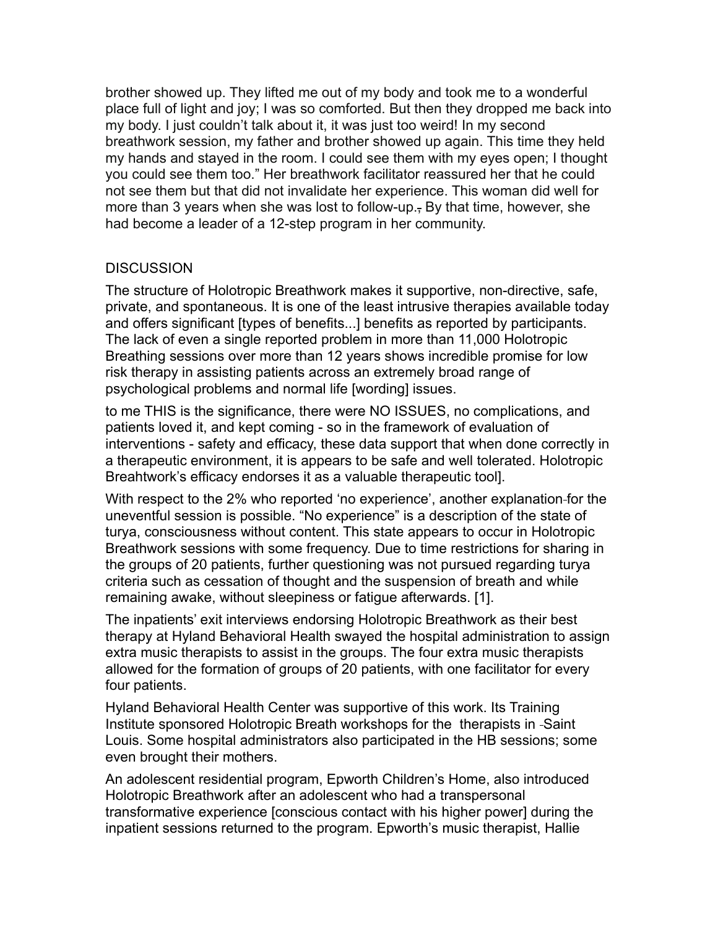brother showed up. They lifted me out of my body and took me to a wonderful place full of light and joy; I was so comforted. But then they dropped me back into my body. I just couldn't talk about it, it was just too weird! In my second breathwork session, my father and brother showed up again. This time they held my hands and stayed in the room. I could see them with my eyes open; I thought you could see them too." Her breathwork facilitator reassured her that he could not see them but that did not invalidate her experience. This woman did well for more than 3 years when she was lost to follow-up., By that time, however, she had become a leader of a 12-step program in her community.

### **DISCUSSION**

The structure of Holotropic Breathwork makes it supportive, non-directive, safe, private, and spontaneous. It is one of the least intrusive therapies available today and offers significant [types of benefits...] benefits as reported by participants. The lack of even a single reported problem in more than 11,000 Holotropic Breathing sessions over more than 12 years shows incredible promise for low risk therapy in assisting patients across an extremely broad range of psychological problems and normal life [wording] issues.

to me THIS is the significance, there were NO ISSUES, no complications, and patients loved it, and kept coming - so in the framework of evaluation of interventions - safety and efficacy, these data support that when done correctly in a therapeutic environment, it is appears to be safe and well tolerated. Holotropic Breahtwork's efficacy endorses it as a valuable therapeutic tool].

With respect to the 2% who reported 'no experience', another explanation for the uneventful session is possible. "No experience" is a description of the state of turya, consciousness without content. This state appears to occur in Holotropic Breathwork sessions with some frequency. Due to time restrictions for sharing in the groups of 20 patients, further questioning was not pursued regarding turya criteria such as cessation of thought and the suspension of breath and while remaining awake, without sleepiness or fatigue afterwards. [1].

The inpatients' exit interviews endorsing Holotropic Breathwork as their best therapy at Hyland Behavioral Health swayed the hospital administration to assign extra music therapists to assist in the groups. The four extra music therapists allowed for the formation of groups of 20 patients, with one facilitator for every four patients.

Hyland Behavioral Health Center was supportive of this work. Its Training Institute sponsored Holotropic Breath workshops for the therapists in -Saint Louis. Some hospital administrators also participated in the HB sessions; some even brought their mothers.

An adolescent residential program, Epworth Children's Home, also introduced Holotropic Breathwork after an adolescent who had a transpersonal transformative experience [conscious contact with his higher power] during the inpatient sessions returned to the program. Epworth's music therapist, Hallie